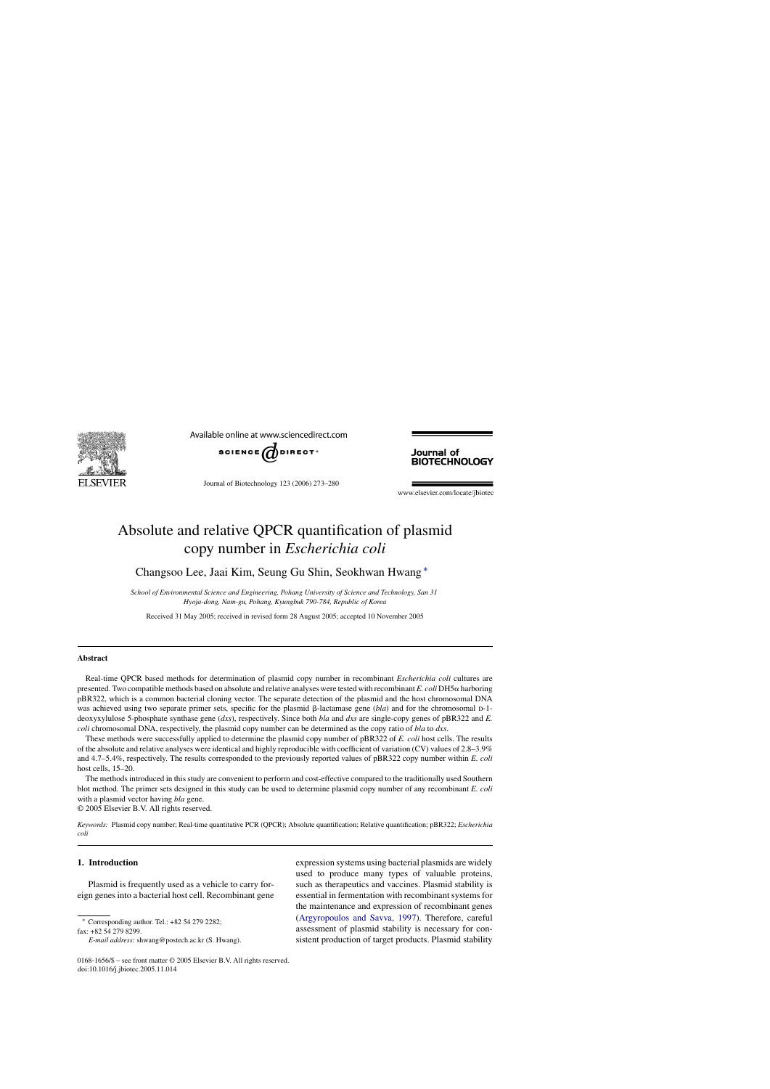

Available online at www.sciencedirect.com



Journal of Biotechnology 123 (2006) 273–280

Journal of **BIOTECHNOLOGY** 

www.elsevier.com/locate/jbiotec

# Absolute and relative QPCR quantification of plasmid copy number in *Escherichia coli*

Changsoo Lee, Jaai Kim, Seung Gu Shin, Seokhwan Hwang ∗

*School of Environmental Science and Engineering, Pohang University of Science and Technology, San 31 Hyoja-dong, Nam-gu, Pohang, Kyungbuk 790-784, Republic of Korea*

Received 31 May 2005; received in revised form 28 August 2005; accepted 10 November 2005

#### **Abstract**

Real-time QPCR based methods for determination of plasmid copy number in recombinant *Escherichia coli* cultures are presented. Two compatible methods based on absolute and relative analyses were tested with recombinant *E. coli* DH5 α harboring pBR322, which is a common bacterial cloning vector. The separate detection of the plasmid and the host chromosomal DNA was achieved using two separate primer sets, specific for the plasmid  $\beta$ -lactamase gene (*bla*) and for the chromosomal D-1deoxyxylulose 5-phosphate synthase gene (*dxs*), respectively. Since both *bla* and *dxs* are single-copy genes of pBR322 and *E. coli* chromosomal DNA, respectively, the plasmid copy number can be determined as the copy ratio of *bla* to *dxs*.

These methods were successfully applied to determine the plasmid copy number of pBR322 of *E. coli* host cells. The results of the absolute and relative analyses were identical and highly reproducible with coefficient of variation (CV) values of 2.8–3.9% and 4.7–5.4%, respectively. The results corresponded to the previously reported values of pBR322 copy number within *E. coli* host cells, 15–20.

The methods introduced in this study are convenient to perform and cost-effective compared to the traditionally used Southern blot method. The primer sets designed in this study can be used to determine plasmid copy number of any recombinant *E. coli* with a plasmid vector having *bla* gene.

© 2005 Elsevier B.V. All rights reserved.

*Keywords:* Plasmid copy number; Real-time quantitative PCR (QPCR); Absolute quantification; Relative quantification; pBR322; *Escherichia coli*

#### **1. Introduction**

Plasmid is frequently used as a vehicle to carry foreign genes into a bacterial host cell. Recombinant gene

∗ Corresponding author. Tel.: +82 54 279 2282;

fax: +82 54 279 8299.

expression systems using bacterial plasmids are widely used to produce many types of valuable proteins, such as therapeutics and vaccines. Plasmid stability is essential in fermentation with recombinant systems for the maintenance and expression of recombinant genes [\(Argyropoulos and Savva, 1997\).](#page-7-0) Therefore, careful assessment of plasmid stability is necessary for consistent production of target products. Plasmid stability

*E-mail address:* shwang@postech.ac.kr (S. Hwang).

<sup>0168-1656/\$ –</sup> see front matter © 2005 Elsevier B.V. All rights reserved. doi:10.1016/j.jbiotec.2005.11.014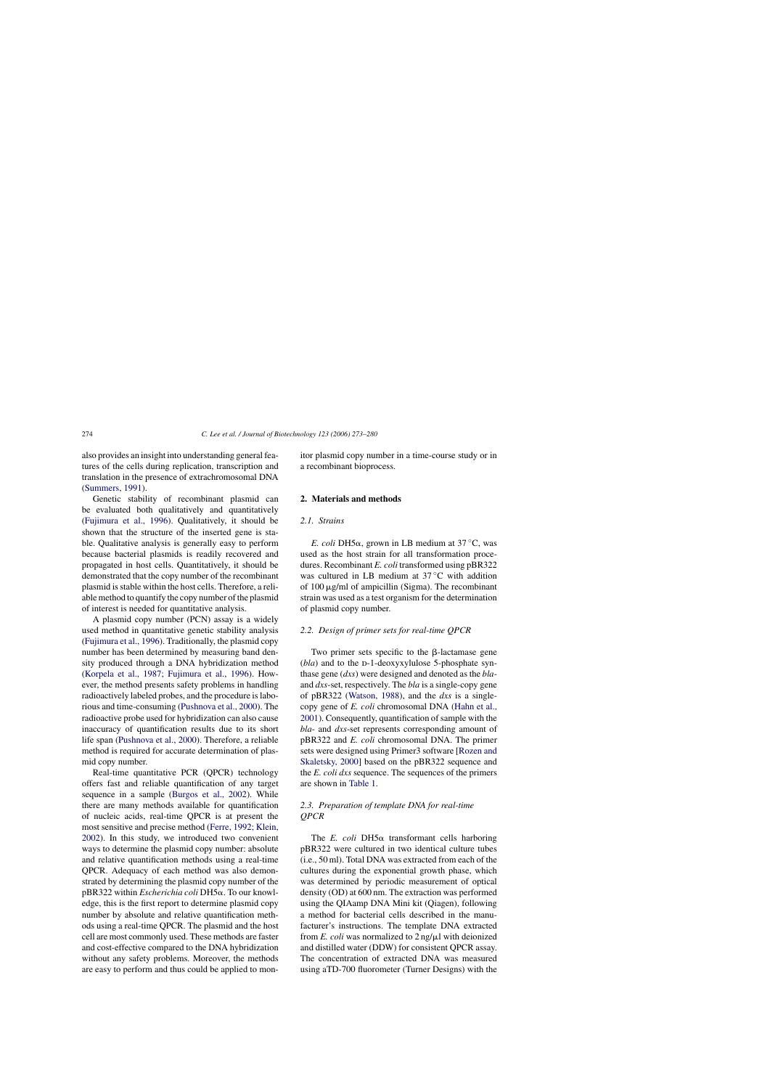also provides an insight into understanding general features of the cells during replication, transcription and translation in the presence of extrachromosomal DNA ([Summers, 1991\).](#page-7-0)

Genetic stability of recombinant plasmid can be evaluated both qualitatively and quantitatively ([Fujimura et al., 1996\).](#page-7-0) Qualitatively, it should be shown that the structure of the inserted gene is stable. Qualitative analysis is generally easy to perform because bacterial plasmids is readily recovered and propagated in host cells. Quantitatively, it should be demonstrated that the copy number of the recombinant plasmid is stable within the host cells. Therefore, a reliable method to quantify the copy number of the plasmid of interest is needed for quantitative analysis.

A plasmid copy number (PCN) assay is a widely used method in quantitative genetic stability analysis ([Fujimura et al., 1996\).](#page-7-0) Traditionally, the plasmid copy number has been determined by measuring band density produced through a DNA hybridization method ([Korpela et al., 1987; Fujimura et al., 1996\).](#page-7-0) However, the method presents safety problems in handling radioactively labeled probes, and the procedure is laborious and time-consuming ([Pushnova et al., 2000\).](#page-7-0) The radioactive probe used for hybridization can also cause inaccuracy of quantification results due to its short life span ([Pushnova et al., 2000\).](#page-7-0) Therefore, a reliable method is required for accurate determination of plasmid copy number.

Real-time quantitative PCR (QPCR) technology offers fast and reliable quantification of any target sequence in a sample [\(Burgos et al., 2002\).](#page-7-0) While there are many methods available for quantification of nucleic acids, real-time QPCR is at present the most sensitive and precise method ([Ferre, 1992; Klein,](#page-7-0) [2002\).](#page-7-0) In this study, we introduced two convenient ways to determine the plasmid copy number: absolute and relative quantification methods using a real-time QPCR. Adequacy of each method was also demonstrated by determining the plasmid copy number of the pBR322 within *Escherichia coli* DH5α. To our knowledge, this is the first report to determine plasmid copy number by absolute and relative quantification methods using a real-time QPCR. The plasmid and the host cell are most commonly used. These methods are faster and cost-effective compared to the DNA hybridization without any safety problems. Moreover, the methods are easy to perform and thus could be applied to monitor plasmid copy number in a time-course study or in a recombinant bioprocess.

## **2. Materials and methods**

## *2.1. Strains*

*E. coli* DH5 $\alpha$ , grown in LB medium at 37 °C, was used as the host strain for all transformation procedures. Recombinant *E. coli* transformed using pBR322 was cultured in LB medium at 37 ◦C with addition of  $100 \mu$ g/ml of ampicillin (Sigma). The recombinant strain was used as a test organism for the determination of plasmid copy number.

## *2.2. Design of primer sets for real-time QPCR*

Two primer sets specific to the  $\beta$ -lactamase gene (*bla*) and to the D-1-deoxyxylulose 5-phosphate synthase gene (*dxs*) were designed and denoted as the *bla*and *dxs*-set, respectively. The *bla* is a single-copy gene of pBR322 [\(Watson, 1988\),](#page-7-0) and the *dxs* is a singlecopy gene of *E. coli* chromosomal DNA [\(Hahn et al.,](#page-7-0) [2001\).](#page-7-0) Consequently, quantification of sample with the *bla*- and *dxs*-set represents corresponding amount of pBR322 and *E. coli* chromosomal DNA. The primer sets were designed using Primer3 software [[Rozen and](#page-7-0) [Skaletsky, 2000\]](#page-7-0) based on the pBR322 sequence and the *E. coli dxs* sequence. The sequences of the primers are shown in [Table 1.](#page-2-0)

## *2.3. Preparation of template DNA for real-time QPCR*

The *E. coli* DH5 $\alpha$  transformant cells harboring pBR322 were cultured in two identical culture tubes (i.e., 50 ml). Total DNA was extracted from each of the cultures during the exponential growth phase, which was determined by periodic measurement of optical density (OD) at 600 nm. The extraction was performed using the QIAamp DNA Mini kit (Qiagen), following a method for bacterial cells described in the manufacturer's instructions. The template DNA extracted from  $E$ . *coli* was normalized to  $2$  ng/ $\mu$ l with deionized and distilled water (DDW) for consistent QPCR assay. The concentration of extracted DNA was measured using aTD-700 fluorometer (Turner Designs) with the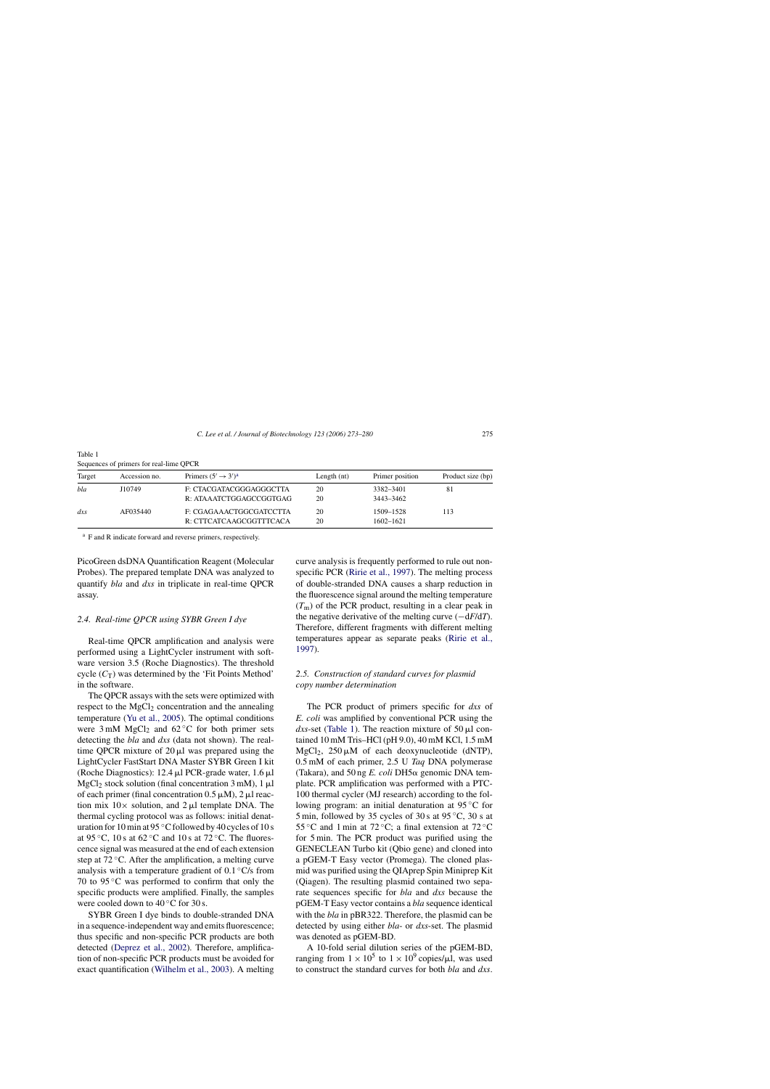| Target          | Accession no. | Primers $(5' \rightarrow 3')^a$                    | Length $(nt)$ | Primer position            | Product size (bp) |  |
|-----------------|---------------|----------------------------------------------------|---------------|----------------------------|-------------------|--|
| bla             | J10749        | F: CTACGATACGGGAGGGCTTA<br>R: ATAAATCTGGAGCCGGTGAG | 20<br>20      | 3382-3401<br>3443-3462     | 81                |  |
| dx <sub>S</sub> | AF035440      | F: CGAGAAACTGGCGATCCTTA<br>R: CTTCATCAAGCGGTTTCACA | 20<br>20      | 1509–1528<br>$1602 - 1621$ | 113               |  |

<span id="page-2-0"></span>Table 1 Sequences of primers for real-lime QPCR

<sup>a</sup> F and R indicate forward and reverse primers, respectively.

PicoGreen dsDNA Quantification Reagent (Molecular Probes). The prepared template DNA was analyzed to quantify *bla* and *dxs* in triplicate in real-time QPCR assay.

#### *2.4. Real-time QPCR using SYBR Green I dye*

Real-time QPCR amplification and analysis were performed using a LightCycler instrument with software version 3.5 (Roche Diagnostics). The threshold cycle  $(C_T)$  was determined by the 'Fit Points Method' in the software.

The QPCR assays with the sets were optimized with respect to the  $MgCl<sub>2</sub>$  concentration and the annealing temperature [\(Yu et al., 2005\).](#page-7-0) The optimal conditions were  $3 \text{ mM } MgCl<sub>2</sub>$  and  $62 \degree C$  for both primer sets detecting the *bla* and *dxs* (data not shown). The realtime QPCR mixture of  $20 \mu l$  was prepared using the LightCycler FastStart DNA Master SYBR Green I kit (Roche Diagnostics): 12.4  $\mu$ l PCR-grade water, 1.6  $\mu$ l MgCl<sub>2</sub> stock solution (final concentration  $3 \text{ mM}$ ),  $1 \mu$ l of each primer (final concentration  $0.5 \mu M$ ), 2  $\mu$ l reaction mix  $10 \times$  solution, and  $2 \mu l$  template DNA. The thermal cycling protocol was as follows: initial denaturation for 10 min at 95 ◦C followed by 40 cycles of 10 s at 95 °C, 10 s at 62 °C and 10 s at 72 °C. The fluorescence signal was measured at the end of each extension step at  $72^{\circ}$ C. After the amplification, a melting curve analysis with a temperature gradient of  $0.1 \degree C/s$  from 70 to 95 ◦C was performed to confirm that only the specific products were amplified. Finally, the samples were cooled down to  $40^{\circ}$ C for 30 s.

SYBR Green I dye binds to double-stranded DNA in a sequence-independent way and emits fluorescence; thus specific and non-specific PCR products are both detected ([Deprez et al., 2002\).](#page-7-0) Therefore, amplification of non-specific PCR products must be avoided for exact quantification [\(Wilhelm et al., 2003\).](#page-7-0) A melting curve analysis is frequently performed to rule out nonspecific PCR ([Ririe et al., 1997\).](#page-7-0) The melting process of double-stranded DNA causes a sharp reduction in the fluorescence signal around the melting temperature  $(T<sub>m</sub>)$  of the PCR product, resulting in a clear peak in the negative derivative of the melting curve (−d*F*/d*T*). Therefore, different fragments with different melting temperatures appear as separate peaks ([Ririe et al.,](#page-7-0) [1997\).](#page-7-0)

## *2.5. Construction of standard curves for plasmid copy number determination*

The PCR product of primers specific for *dxs* of *E. coli* was amplified by conventional PCR using the *dxs*-set (Table 1). The reaction mixture of  $50 \mu l$  contained 10 mM Tris–HCl (pH 9.0), 40 mM KCl, 1.5 mM  $MgCl<sub>2</sub>$ , 250 µM of each deoxynucleotide (dNTP), 0.5 mM of each primer, 2.5 U *Taq* DNA polymerase (Takara), and  $50$  ng *E. coli* DH5 $\alpha$  genomic DNA template. PCR amplification was performed with a PTC-100 thermal cycler (MJ research) according to the following program: an initial denaturation at 95 ◦C for 5 min, followed by 35 cycles of 30 s at  $95^{\circ}$ C, 30 s at 55 °C and 1 min at 72 °C; a final extension at 72 °C for 5 min. The PCR product was purified using the GENECLEAN Turbo kit (Qbio gene) and cloned into a pGEM-T Easy vector (Promega). The cloned plasmid was purified using the QIAprep Spin Miniprep Kit (Qiagen). The resulting plasmid contained two separate sequences specific for *bla* and *dxs* because the pGEM-T Easy vector contains a *bla* sequence identical with the *bla* in pBR322. Therefore, the plasmid can be detected by using either *bla*- or *dxs*-set. The plasmid was denoted as pGEM-BD.

A 10-fold serial dilution series of the pGEM-BD, ranging from  $1 \times 10^5$  to  $1 \times 10^9$  copies/µl, was used to construct the standard curves for both *bla* and *dxs*.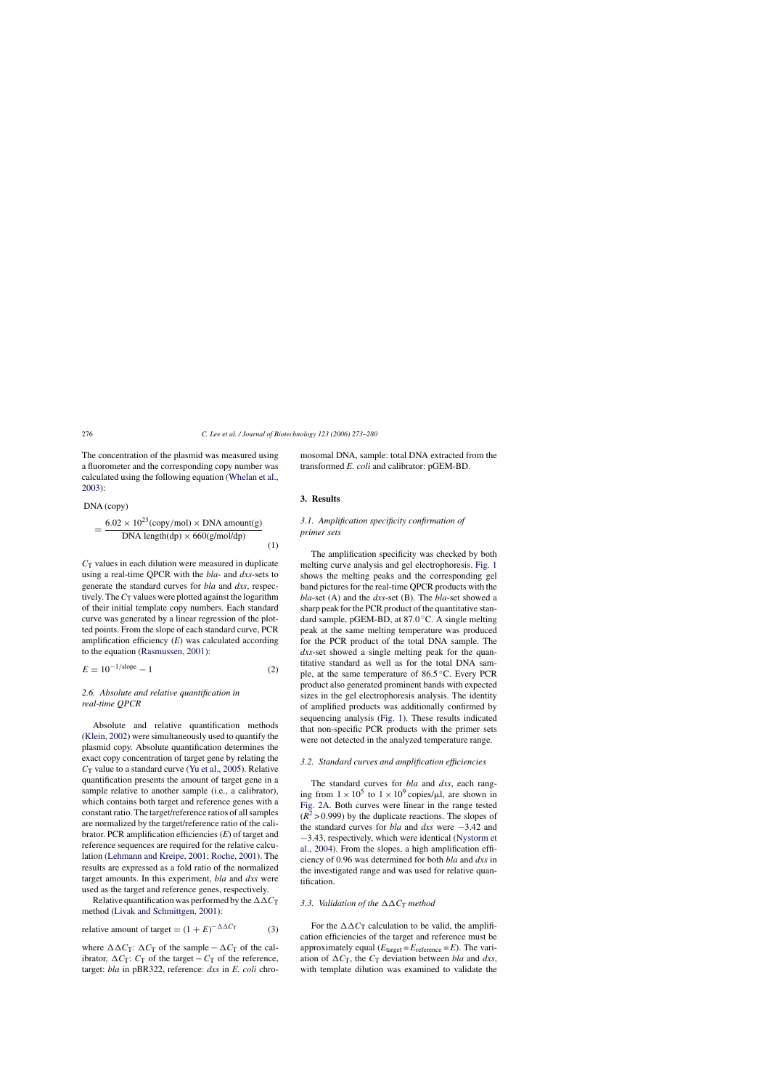<span id="page-3-0"></span>The concentration of the plasmid was measured using a fluorometer and the corresponding copy number was calculated using the following equation [\(Whelan et al.,](#page-7-0) [2003\):](#page-7-0)

DNA (copy)  
= 
$$
\frac{6.02 \times 10^{23} (copy/mol) \times DNA amount(g)}{DNA length(dp) \times 660(g/mol/dp)}
$$
 (1)

 $C_T$  values in each dilution were measured in duplicate using a real-time QPCR with the *bla*- and *dxs*-sets to generate the standard curves for *bla* and *dxs*, respectively. The  $C_T$  values were plotted against the logarithm of their initial template copy numbers. Each standard curve was generated by a linear regression of the plotted points. From the slope of each standard curve, PCR amplification efficiency (*E*) was calculated according to the equation ([Rasmussen, 2001\):](#page-7-0)

$$
E = 10^{-1/\text{slope}} - 1 \tag{2}
$$

## *2.6. Absolute and relative quantification in real-time QPCR*

Absolute and relative quantification methods ([Klein, 2002\)](#page-7-0) were simultaneously used to quantify the plasmid copy. Absolute quantification determines the exact copy concentration of target gene by relating the  $C_T$  value to a standard curve [\(Yu et al., 2005\).](#page-7-0) Relative quantification presents the amount of target gene in a sample relative to another sample (i.e., a calibrator), which contains both target and reference genes with a constant ratio. The target/reference ratios of all samples are normalized by the target/reference ratio of the calibrator. PCR amplification efficiencies (*E*) of target and reference sequences are required for the relative calculation ([Lehmann and Kreipe, 2001; Roche, 2001\).](#page-7-0) The results are expressed as a fold ratio of the normalized target amounts. In this experiment, *bla* and *dxs* were used as the target and reference genes, respectively.

Relative quantification was performed by the  $\Delta \Delta C_T$ method [\(Livak and Schmittgen, 2001\):](#page-7-0)

relative amount of target = 
$$
(1 + E)^{-\Delta \Delta C_T}
$$
 (3)

where  $\Delta \Delta C_T$ :  $\Delta C_T$  of the sample –  $\Delta C_T$  of the calibrator,  $\Delta C_T$ :  $C_T$  of the target –  $C_T$  of the reference, target: *bla* in pBR322, reference: *dxs* in *E. coli* chromosomal DNA, sample: total DNA extracted from the transformed *E. coli* and calibrator: pGEM-BD.

## **3. Results**

# *3.1. Amplification specificity confirmation of primer sets*

The amplification specificity was checked by both melting curve analysis and gel electrophoresis. [Fig. 1](#page-4-0) shows the melting peaks and the corresponding gel band pictures for the real-time QPCR products with the *bla*-set (A) and the *dxs*-set (B). The *bla*-set showed a sharp peak for the PCR product of the quantitative standard sample, pGEM-BD, at 87.0 ◦C. A single melting peak at the same melting temperature was produced for the PCR product of the total DNA sample. The *dxs*-set showed a single melting peak for the quantitative standard as well as for the total DNA sample, at the same temperature of 86.5 ◦C. Every PCR product also generated prominent bands with expected sizes in the gel electrophoresis analysis. The identity of amplified products was additionally confirmed by sequencing analysis [\(Fig. 1\)](#page-4-0). These results indicated that non-specific PCR products with the primer sets were not detected in the analyzed temperature range.

# *3.2. Standard curves and amplification efficiencies*

The standard curves for *bla* and *dxs*, each ranging from  $1 \times 10^5$  to  $1 \times 10^9$  copies/ $\mu$ l, are shown in [Fig. 2A](#page-5-0). Both curves were linear in the range tested  $(R^2 > 0.999)$  by the duplicate reactions. The slopes of the standard curves for *bla* and *dxs* were −3.42 and −3.43, respectively, which were identical [\(Nystorm et](#page-7-0) [al., 2004\).](#page-7-0) From the slopes, a high amplification efficiency of 0.96 was determined for both *bla* and *dxs* in the investigated range and was used for relative quantification.

### *3.3. Validation of the*  $\Delta \Delta C_T$  *method*

For the  $\Delta \Delta C_T$  calculation to be valid, the amplification efficiencies of the target and reference must be approximately equal  $(E<sub>target</sub> = E<sub>reference</sub> = E)$ . The variation of  $\Delta C$ <sub>T</sub>, the  $C$ <sub>T</sub> deviation between *bla* and *dxs*, with template dilution was examined to validate the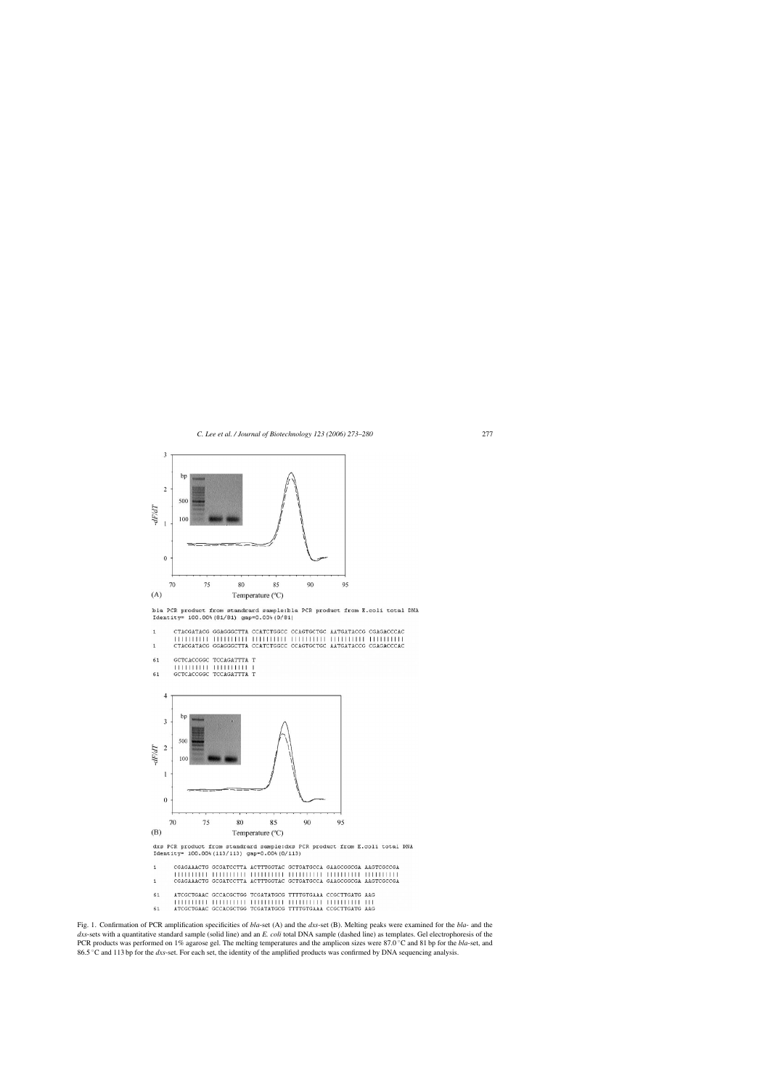<span id="page-4-0"></span>

bla PCR product from standrard sample:bla PCR product from E.coli total DNA Identity= 100.00% (81/81) gap=0.00% (0/81)

|    |                         |                          | CTACGATACG GGAGGGCTTA CCATCTGGCC CCAGTGCTGC AATGATACCG CGAGACCCAC |  |
|----|-------------------------|--------------------------|-------------------------------------------------------------------|--|
|    |                         |                          |                                                                   |  |
|    |                         |                          | CTACGATACG GGAGGGCTTA CCATCTGGCC CCAGTGCTGC AATGATACCG CGAGACCCAC |  |
| 61 |                         | GCTCACCGGC TCCAGATTTA T  |                                                                   |  |
|    |                         | 1111111111 11111111111 1 |                                                                   |  |
| 61 | GCTCACCGGC TCCAGATTTA T |                          |                                                                   |  |
|    |                         |                          |                                                                   |  |
|    |                         |                          |                                                                   |  |
|    |                         |                          |                                                                   |  |



Fig. 1. Confirmation of PCR amplification specificities of *bla*-set (A) and the *dxs*-set (B). Melting peaks were examined for the *bla*- and the *dxs*-sets with a quantitative standard sample (solid line) and an *E. coli* total DNA sample (dashed line) as templates. Gel electrophoresis of the PCR products was performed on 1% agarose gel. The melting temperatures and the amplicon sizes were 87.0 ◦C and 81 bp for the *bla*-set, and 86.5 ◦C and 113 bp for the *dxs*-set. For each set, the identity of the amplified products was confirmed by DNA sequencing analysis.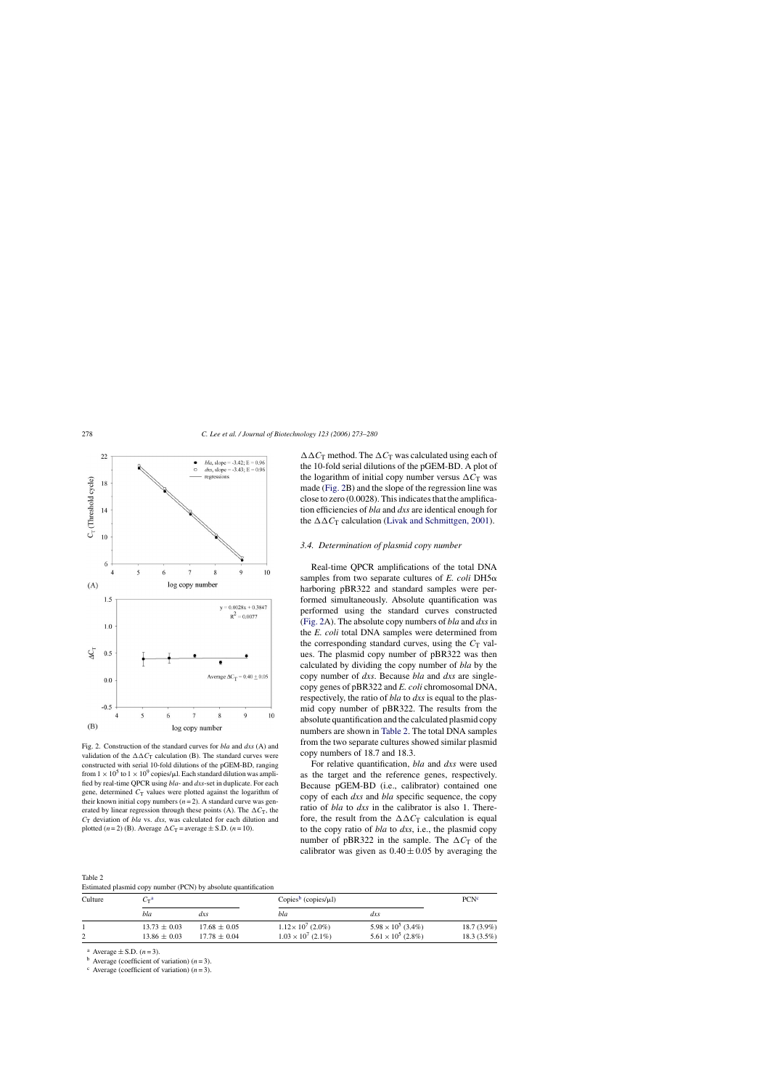<span id="page-5-0"></span>

Fig. 2. Construction of the standard curves for *bla* and *dxs* (A) and validation of the  $\Delta \Delta C_T$  calculation (B). The standard curves were constructed with serial 10-fold dilutions of the pGEM-BD, ranging from  $1 \times 10^5$  to  $1 \times 10^9$  copies/ $\mu$ l. Each standard dilution was amplified by real-time QPCR using *bla*- and *dxs*-set in duplicate. For each gene, determined  $C_T$  values were plotted against the logarithm of their known initial copy numbers  $(n=2)$ . A standard curve was generated by linear regression through these points (A). The  $\Delta C_T$ , the *C*<sup>T</sup> deviation of *bla* vs. *dxs*, was calculated for each dilution and plotted  $(n=2)$  (B). Average  $\Delta C_T$  = average  $\pm$  S.D.  $(n=10)$ .

Table 2 Estimated plasmid copy number (PCN) by absolute quantification

 $\Delta \Delta C_T$  method. The  $\Delta C_T$  was calculated using each of the 10-fold serial dilutions of the pGEM-BD. A plot of the logarithm of initial copy number versus  $\Delta C_T$  was made (Fig. 2B) and the slope of the regression line was close to zero (0.0028). This indicates that the amplification efficiencies of *bla* and *dxs* are identical enough for the  $\Delta \Delta C_T$  calculation [\(Livak and Schmittgen, 2001\).](#page-7-0)

#### *3.4. Determination of plasmid copy number*

Real-time QPCR amplifications of the total DNA samples from two separate cultures of  $E$ . *coli* DH5 $\alpha$ harboring pBR322 and standard samples were performed simultaneously. Absolute quantification was performed using the standard curves constructed (Fig. 2A). The absolute copy numbers of *bla* and *dxs* in the *E. coli* total DNA samples were determined from the corresponding standard curves, using the  $C_T$  values. The plasmid copy number of pBR322 was then calculated by dividing the copy number of *bla* by the copy number of *dxs*. Because *bla* and *dxs* are singlecopy genes of pBR322 and *E. coli* chromosomal DNA, respectively, the ratio of *bla* to *dxs* is equal to the plasmid copy number of pBR322. The results from the absolute quantification and the calculated plasmid copy numbers are shown in Table 2. The total DNA samples from the two separate cultures showed similar plasmid copy numbers of 18.7 and 18.3.

For relative quantification, *bla* and *dxs* were used as the target and the reference genes, respectively. Because pGEM-BD (i.e., calibrator) contained one copy of each *dxs* and *bla* specific sequence, the copy ratio of *bla* to *dxs* in the calibrator is also 1. Therefore, the result from the  $\Delta \Delta C_T$  calculation is equal to the copy ratio of *bla* to *dxs*, i.e., the plasmid copy number of pBR322 in the sample. The  $\Delta C_T$  of the calibrator was given as  $0.40 \pm 0.05$  by averaging the

| Culture | $C_{\rm T}^{\rm \,a}$ |                  | Copies <sup>b</sup> (copies/ $\mu$ l) |                           | PCN <sup>c</sup> |
|---------|-----------------------|------------------|---------------------------------------|---------------------------|------------------|
|         | bla                   | dxs              | bla                                   | $dx$ s                    |                  |
|         | $13.73 \pm 0.03$      | $17.68 \pm 0.05$ | $1.12 \times 10^7$ (2.0%)             | $5.98 \times 10^5$ (3.4%) | $18.7(3.9\%)$    |
|         | $13.86 \pm 0.03$      | $17.78 \pm 0.04$ | $1.03 \times 10^7$ (2.1%)             | $5.61 \times 10^5$ (2.8%) | 18.3(3.5%)       |

<sup>a</sup> Average  $\pm$  S.D. (*n* = 3).<br><sup>b</sup> Average (coefficient of variation) (*n* = 3).

 $\text{c}$  Average (coefficient of variation)  $(n=3)$ .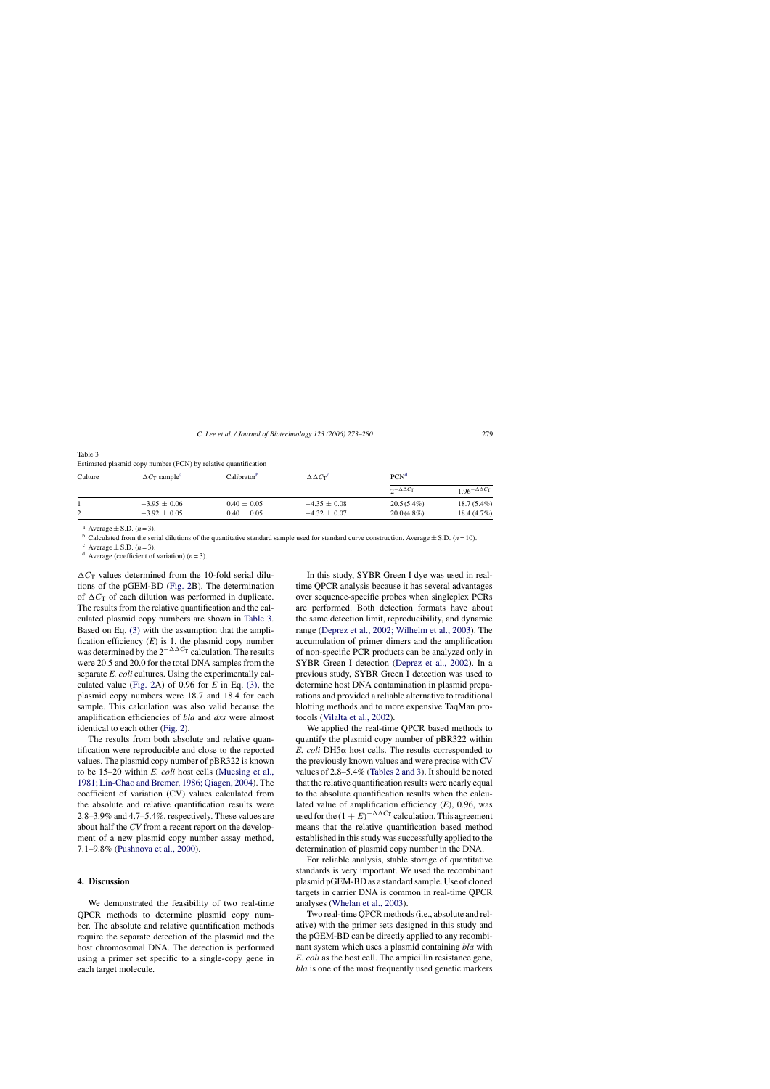| Culture | $\Delta C_T$ sample <sup>a</sup> | Calibrator <sup>b</sup> | $\Delta \Delta C_T^{\rm c}$ | PCN <sup>d</sup>     |                                               |
|---------|----------------------------------|-------------------------|-----------------------------|----------------------|-----------------------------------------------|
|         |                                  |                         |                             | $2-\Delta\Delta C_T$ | 1.96 <sup>-<math>\Delta\Delta C</math>T</sup> |
|         | $-3.95 \pm 0.06$                 | $0.40 \pm 0.05$         | $-4.35 \pm 0.08$            | $20.5(5.4\%)$        | $18.7(5.4\%)$                                 |
| ∠       | $-3.92 \pm 0.05$                 | $0.40 \pm 0.05$         | $-4.32 \pm 0.07$            | $20.0(4.8\%)$        | 18.4(4.7%)                                    |

Estimated plasmid copy number (PCN) by relative quantification

Table 3

<sup>a</sup> Average  $\pm$  S.D. (*n* = 3).<br><sup>b</sup> Calculated from the serial dilutions of the quantitative standard sample used for standard curve construction. Average  $\pm$  S.D. (*n* = 10).<br><sup>c</sup> Average  $\pm$  S.D. (*n* = 3).<br><sup>d</sup> Averag

 $\Delta C_T$  values determined from the 10-fold serial dilutions of the pGEM-BD ([Fig. 2B](#page-5-0)). The determination of  $\Delta C_T$  of each dilution was performed in duplicate. The results from the relative quantification and the calculated plasmid copy numbers are shown in Table 3. Based on Eq. [\(3\)](#page-3-0) with the assumption that the amplification efficiency  $(E)$  is 1, the plasmid copy number was determined by the  $2^{-\Delta\Delta C_T}$  calculation. The results were 20.5 and 20.0 for the total DNA samples from the separate *E. coli* cultures. Using the experimentally calculated value [\(Fig. 2A](#page-5-0)) of 0.96 for *E* in Eq. [\(3\),](#page-3-0) the plasmid copy numbers were 18.7 and 18.4 for each sample. This calculation was also valid because the amplification efficiencies of *bla* and *dxs* were almost identical to each other ([Fig. 2\).](#page-5-0)

The results from both absolute and relative quantification were reproducible and close to the reported values. The plasmid copy number of pBR322 is known to be 15–20 within *E. coli* host cells [\(Muesing et al.,](#page-7-0) [1981; Lin-Chao and Bremer, 1986; Qiagen, 2004\).](#page-7-0) The coefficient of variation (CV) values calculated from the absolute and relative quantification results were 2.8–3.9% and 4.7–5.4%, respectively. These values are about half the *CV* from a recent report on the development of a new plasmid copy number assay method, 7.1–9.8% ([Pushnova et al., 2000\).](#page-7-0)

## **4. Discussion**

We demonstrated the feasibility of two real-time QPCR methods to determine plasmid copy number. The absolute and relative quantification methods require the separate detection of the plasmid and the host chromosomal DNA. The detection is performed using a primer set specific to a single-copy gene in each target molecule.

In this study, SYBR Green I dye was used in realtime QPCR analysis because it has several advantages over sequence-specific probes when singleplex PCRs are performed. Both detection formats have about the same detection limit, reproducibility, and dynamic range ([Deprez et al., 2002; Wilhelm et al., 2003\).](#page-7-0) The accumulation of primer dimers and the amplification of non-specific PCR products can be analyzed only in SYBR Green I detection ([Deprez et al., 2002\).](#page-7-0) In a previous study, SYBR Green I detection was used to determine host DNA contamination in plasmid preparations and provided a reliable alternative to traditional blotting methods and to more expensive TaqMan protocols [\(Vilalta et al., 2002\).](#page-7-0)

We applied the real-time QPCR based methods to quantify the plasmid copy number of pBR322 within  $E.$  *coli* DH5 $\alpha$  host cells. The results corresponded to the previously known values and were precise with CV values of 2.8–5.4% ([Tables 2 and 3\).](#page-5-0) It should be noted that the relative quantification results were nearly equal to the absolute quantification results when the calculated value of amplification efficiency (*E*), 0.96, was used for the  $(1 + E)^{-\Delta\Delta C_T}$  calculation. This agreement means that the relative quantification based method established in this study was successfully applied to the determination of plasmid copy number in the DNA.

For reliable analysis, stable storage of quantitative standards is very important. We used the recombinant plasmid pGEM-BD as a standard sample. Use of cloned targets in carrier DNA is common in real-time QPCR analyses [\(Whelan et al., 2003\).](#page-7-0)

Two real-time QPCR methods (i.e., absolute and relative) with the primer sets designed in this study and the pGEM-BD can be directly applied to any recombinant system which uses a plasmid containing *bla* with *E. coli* as the host cell. The ampicillin resistance gene, *bla* is one of the most frequently used genetic markers